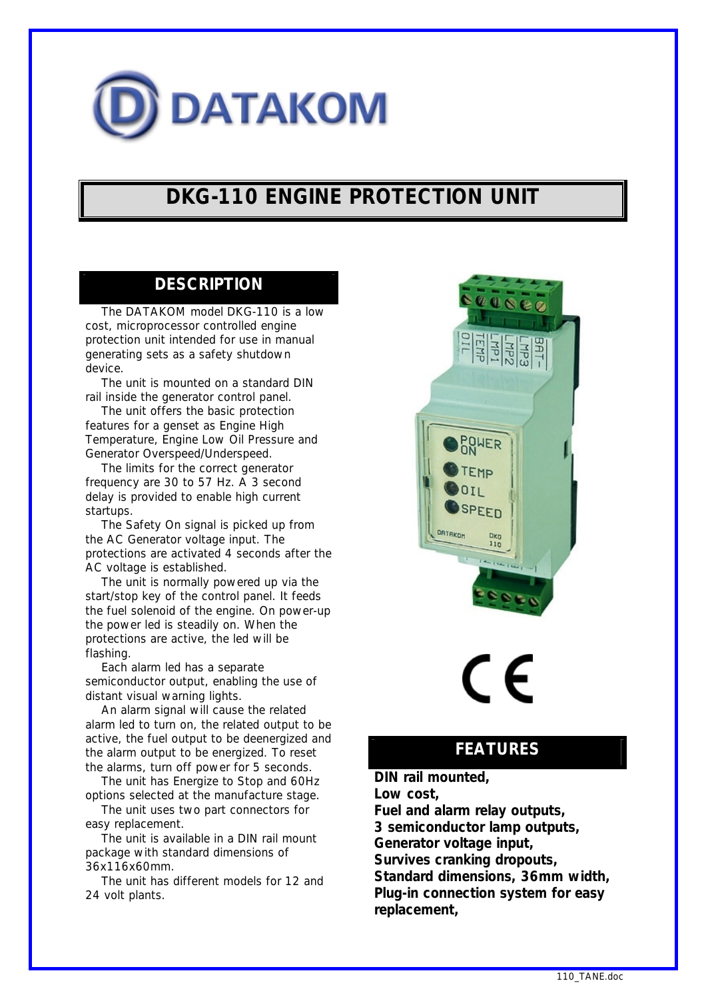

## **DKG-110 ENGINE PROTECTION UNIT**

#### **DESCRIPTION**

 The DATAKOM model DKG-110 is a low cost, microprocessor controlled engine protection unit intended for use in manual generating sets as a safety shutdown device.

 The unit is mounted on a standard DIN rail inside the generator control panel.

 The unit offers the basic protection features for a genset as Engine High Temperature, Engine Low Oil Pressure and Generator Overspeed/Underspeed.

 The limits for the correct generator frequency are 30 to 57 Hz. A 3 second delay is provided to enable high current startups.

 The Safety On signal is picked up from the AC Generator voltage input. The protections are activated 4 seconds after the AC voltage is established.

 The unit is normally powered up via the start/stop key of the control panel. It feeds the fuel solenoid of the engine. On power-up the power led is steadily on. When the protections are active, the led will be flashing.

 Each alarm led has a separate semiconductor output, enabling the use of distant visual warning lights.

 An alarm signal will cause the related alarm led to turn on, the related output to be active, the fuel output to be deenergized and the alarm output to be energized. To reset the alarms, turn off power for 5 seconds.

 The unit has Energize to Stop and 60Hz options selected at the manufacture stage.

 The unit uses two part connectors for easy replacement.

 The unit is available in a DIN rail mount package with standard dimensions of 36x116x60mm.

 The unit has different models for 12 and 24 volt plants.



# $\mathsf{\Gamma}\mathsf{\in}$

### **FEATURES**

*DIN rail mounted, Low cost, Fuel and alarm relay outputs, 3 semiconductor lamp outputs, Generator voltage input, Survives cranking dropouts,* *Standard dimensions, 36mm width, Plug-in connection system for easy replacement,*